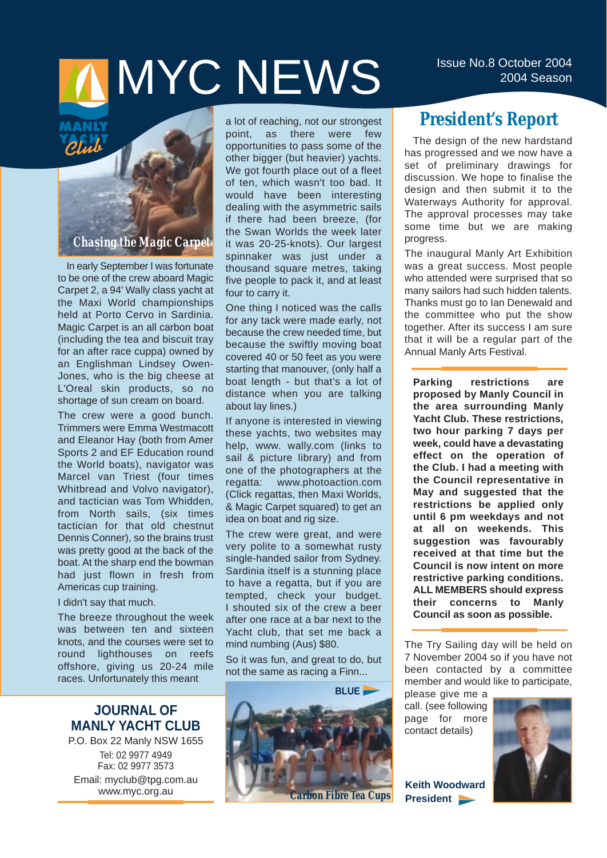# ISSUE NO.8 October 2004

*Plub* 

## *Chasing the Magic Carpet*

In early September I was fortunate to be one of the crew aboard Magic Carpet 2, a 94' Wally class yacht at the Maxi World championships held at Porto Cervo in Sardinia. Magic Carpet is an all carbon boat (including the tea and biscuit tray for an after race cuppa) owned by an Englishman Lindsey Owen-Jones, who is the big cheese at L'Oreal skin products, so no shortage of sun cream on board.

The crew were a good bunch. Trimmers were Emma Westmacott and Eleanor Hay (both from Amer Sports 2 and EF Education round the World boats), navigator was Marcel van Triest (four times Whitbread and Volvo navigator), and tactician was Tom Whidden, from North sails, (six times tactician for that old chestnut Dennis Conner), so the brains trust was pretty good at the back of the boat. At the sharp end the bowman had just flown in fresh from Americas cup training.

#### I didn't say that much.

The breeze throughout the week was between ten and sixteen knots, and the courses were set to round lighthouses on reefs offshore, giving us 20-24 mile races. Unfortunately this meant

## **JOURNAL OF MANLY YACHT CLUB**

P.O. Box 22 Manly NSW 1655 Tel: 02 9977 4949 Fax: 02 9977 3573 Email: myclub@tpg.com.au www.myc.org.au

a lot of reaching, not our strongest point, as there were few opportunities to pass some of the other bigger (but heavier) yachts. We got fourth place out of a fleet of ten, which wasn't too bad. It would have been interesting dealing with the asymmetric sails if there had been breeze, (for the Swan Worlds the week later it was 20-25-knots). Our largest spinnaker was just under a thousand square metres, taking five people to pack it, and at least four to carry it.

One thing I noticed was the calls for any tack were made early, not because the crew needed time, but because the swiftly moving boat covered 40 or 50 feet as you were starting that manouver, (only half a boat length - but that's a lot of distance when you are talking about lay lines.)

If anyone is interested in viewing these yachts, two websites may help, www. wally.com (links to sail & picture library) and from one of the photographers at the regatta: www.photoaction.com (Click regattas, then Maxi Worlds, & Magic Carpet squared) to get an idea on boat and rig size.

The crew were great, and were very polite to a somewhat rusty single-handed sailor from Sydney. Sardinia itself is a stunning place to have a regatta, but if you are tempted, check your budget. I shouted six of the crew a beer after one race at a bar next to the Yacht club, that set me back a mind numbing (Aus) \$80.

So it was fun, and great to do, but not the same as racing a Finn...



## **President's Report**

The design of the new hardstand has progressed and we now have a set of preliminary drawings for discussion. We hope to finalise the design and then submit it to the Waterways Authority for approval. The approval processes may take some time but we are making progress.

The inaugural Manly Art Exhibition was a great success. Most people who attended were surprised that so many sailors had such hidden talents. Thanks must go to Ian Denewald and the committee who put the show together. After its success I am sure that it will be a regular part of the Annual Manly Arts Festival.

**Parking restrictions are proposed by Manly Council in the area surrounding Manly Yacht Club. These restrictions, two hour parking 7 days per week, could have a devastating effect on the operation of the Club. I had a meeting with the Council representative in May and suggested that the restrictions be applied only until 6 pm weekdays and not at all on weekends. This suggestion was favourably received at that time but the Council is now intent on more restrictive parking conditions. ALL MEMBERS should express their concerns to Manly Council as soon as possible.**

The Try Sailing day will be held on 7 November 2004 so if you have not been contacted by a committee member and would like to participate,

please give me a call. (see following page for more contact details)



**Keith Woodward President**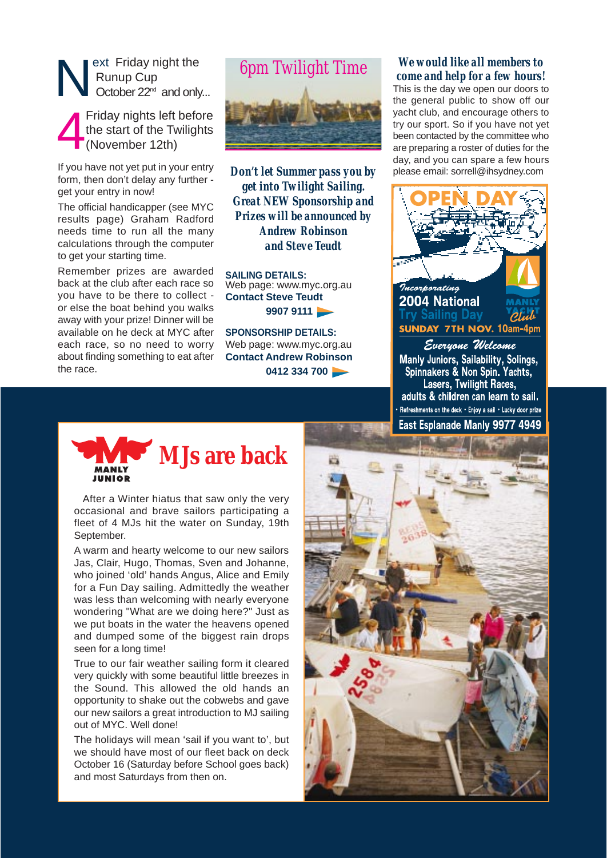

4 Friday nights left before the start of the Twilights (November 12th)

If you have not yet put in your entry form, then don't delay any further get your entry in now!

The official handicapper (see MYC results page) Graham Radford needs time to run all the many calculations through the computer to get your starting time.

Remember prizes are awarded back at the club after each race so you have to be there to collect or else the boat behind you walks away with your prize! Dinner will be available on he deck at MYC after each race, so no need to worry about finding something to eat after the race.



*Don't let Summer pass you by get into Twilight Sailing. Great NEW Sponsorship and Prizes will be announced by Andrew Robinson and Steve Teudt*

**SAILING DETAILS:** Web page: www.myc.org.au **Contact Steve Teudt 9907 9111** 

**SPONSORSHIP DETAILS:** Web page: www.myc.org.au **Contact Andrew Robinson 0412 334 700** 

#### *We would like all members to come and help for a few hours!*

This is the day we open our doors to the general public to show off our yacht club, and encourage others to try our sport. So if you have not yet been contacted by the committee who are preparing a roster of duties for the day, and you can spare a few hours please email: sorrell@ihsydney.com



Everyone Welcome Manly Juniors, Sailability, Solings,<br>Spinnakers & Non Spin. Yachts, Lasers, Twilight Races, adults & children can learn to sail. Refreshments on the deck • Enjoy a sail • Lucky door prize East Esplanade Manly 9977 4949



After a Winter hiatus that saw only the very occasional and brave sailors participating a fleet of 4 MJs hit the water on Sunday, 19th September.

A warm and hearty welcome to our new sailors Jas, Clair, Hugo, Thomas, Sven and Johanne, who joined 'old' hands Angus, Alice and Emily for a Fun Day sailing. Admittedly the weather was less than welcoming with nearly everyone wondering "What are we doing here?" Just as we put boats in the water the heavens opened and dumped some of the biggest rain drops seen for a long time!

True to our fair weather sailing form it cleared very quickly with some beautiful little breezes in the Sound. This allowed the old hands an opportunity to shake out the cobwebs and gave our new sailors a great introduction to MJ sailing out of MYC. Well done!

The holidays will mean 'sail if you want to', but we should have most of our fleet back on deck October 16 (Saturday before School goes back) and most Saturdays from then on.

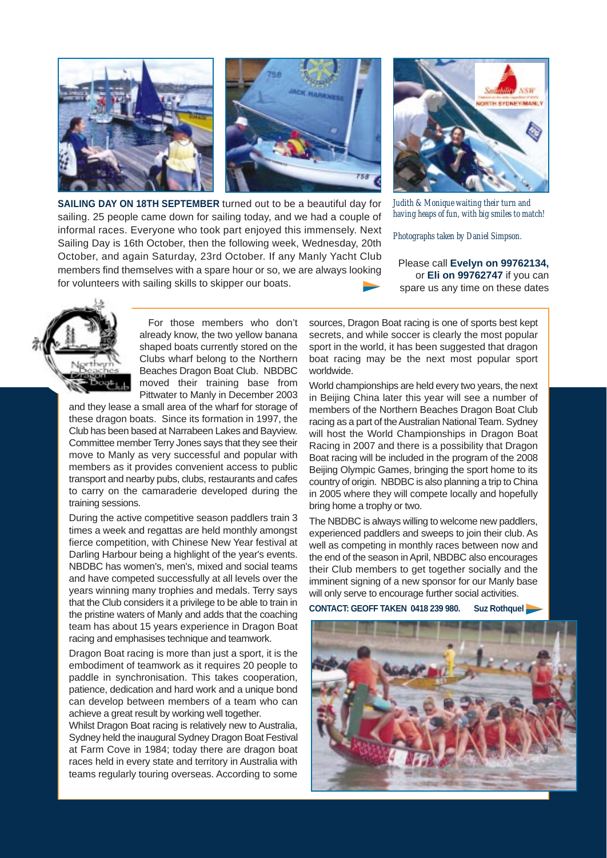

**SAILING DAY ON 18TH SEPTEMBER** turned out to be a beautiful day for sailing. 25 people came down for sailing today, and we had a couple of informal races. Everyone who took part enjoyed this immensely. Next Sailing Day is 16th October, then the following week, Wednesday, 20th October, and again Saturday, 23rd October. If any Manly Yacht Club members find themselves with a spare hour or so, we are always looking for volunteers with sailing skills to skipper our boats.



*Judith & Monique waiting their turn and having heaps of fun, with big smiles to match!*

*Photographs taken by Daniel Simpson.*

Please call **Evelyn on 99762134,** or **Eli on 99762747** if you can spare us any time on these dates



For those members who don't already know, the two yellow banana shaped boats currently stored on the Clubs wharf belong to the Northern Beaches Dragon Boat Club. NBDBC moved their training base from Pittwater to Manly in December 2003

and they lease a small area of the wharf for storage of these dragon boats. Since its formation in 1997, the Club has been based at Narrabeen Lakes and Bayview. Committee member Terry Jones says that they see their move to Manly as very successful and popular with members as it provides convenient access to public transport and nearby pubs, clubs, restaurants and cafes to carry on the camaraderie developed during the training sessions.

During the active competitive season paddlers train 3 times a week and regattas are held monthly amongst fierce competition, with Chinese New Year festival at Darling Harbour being a highlight of the year's events. NBDBC has women's, men's, mixed and social teams and have competed successfully at all levels over the years winning many trophies and medals. Terry says that the Club considers it a privilege to be able to train in the pristine waters of Manly and adds that the coaching team has about 15 years experience in Dragon Boat racing and emphasises technique and teamwork.

Dragon Boat racing is more than just a sport, it is the embodiment of teamwork as it requires 20 people to paddle in synchronisation. This takes cooperation, patience, dedication and hard work and a unique bond can develop between members of a team who can achieve a great result by working well together.

Whilst Dragon Boat racing is relatively new to Australia, Sydney held the inaugural Sydney Dragon Boat Festival at Farm Cove in 1984; today there are dragon boat races held in every state and territory in Australia with teams regularly touring overseas. According to some

sources, Dragon Boat racing is one of sports best kept secrets, and while soccer is clearly the most popular sport in the world, it has been suggested that dragon boat racing may be the next most popular sport worldwide.

World championships are held every two years, the next in Beijing China later this year will see a number of members of the Northern Beaches Dragon Boat Club racing as a part of the Australian National Team. Sydney will host the World Championships in Dragon Boat Racing in 2007 and there is a possibility that Dragon Boat racing will be included in the program of the 2008 Beijing Olympic Games, bringing the sport home to its country of origin. NBDBC is also planning a trip to China in 2005 where they will compete locally and hopefully bring home a trophy or two.

The NBDBC is always willing to welcome new paddlers, experienced paddlers and sweeps to join their club. As well as competing in monthly races between now and the end of the season in April, NBDBC also encourages their Club members to get together socially and the imminent signing of a new sponsor for our Manly base will only serve to encourage further social activities.

**CONTACT: GEOFF TAKEN 0418 239 980. Suz Rothquel**

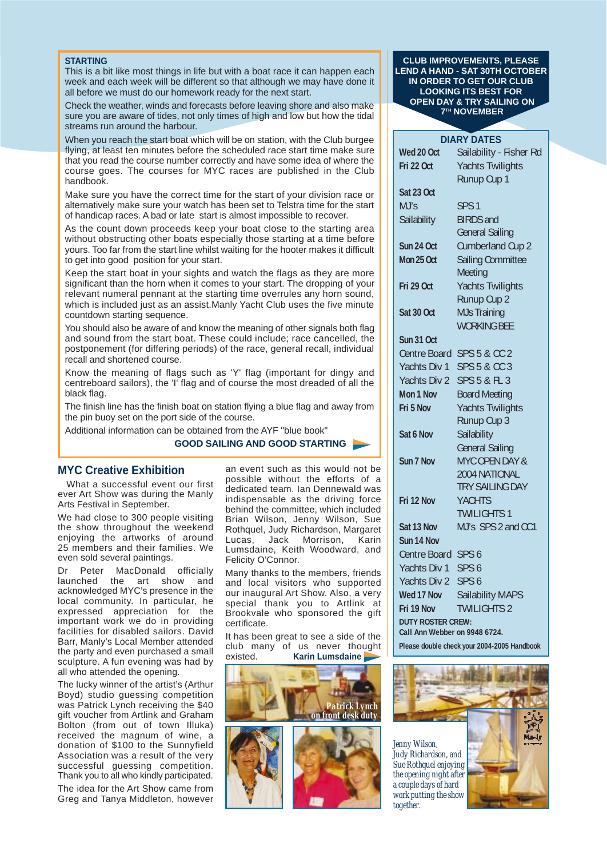#### **STARTING**

This is a bit like most things in life but with a boat race it can happen each week and each week will be different so that although we may have done it all before we must do our homework ready for the next start.

Check the weather, winds and forecasts before leaving shore and also make sure you are aware of tides, not only times of high and low but how the tidal streams run around the harbour.

When you reach the start boat which will be on station, with the Club burgee flying, at least ten minutes before the scheduled race start time make sure that you read the course number correctly and have some idea of where the course goes. The courses for MYC races are published in the Club handbook.

Make sure you have the correct time for the start of your division race or alternatively make sure your watch has been set to Telstra time for the start of handicap races. A bad or late start is almost impossible to recover.

As the count down proceeds keep your boat close to the starting area without obstructing other boats especially those starting at a time before yours. Too far from the start line whilst waiting for the hooter makes it difficult to get into good position for your start.

Keep the start boat in your sights and watch the flags as they are more significant than the horn when it comes to your start. The dropping of your relevant numeral pennant at the starting time overrules any horn sound, which is included just as an assist.Manly Yacht Club uses the five minute countdown starting sequence.

You should also be aware of and know the meaning of other signals both flag and sound from the start boat. These could include; race cancelled, the postponement (for differing periods) of the race, general recall, individual recall and shortened course.

Know the meaning of flags such as 'Y' flag (important for dingy and centreboard sailors), the 'I' flag and of course the most dreaded of all the black flag.

The finish line has the finish boat on station flying a blue flag and away from the pin buoy set on the port side of the course.

Additional information can be obtained from the AYF "blue book"

#### **GOOD SAILING AND GOOD STARTING**

#### **MYC Creative Exhibition**

What a successful event our first ever Art Show was during the Manly Arts Festival in September.

We had close to 300 people visiting the show throughout the weekend enjoying the artworks of around 25 members and their families. We even sold several paintings.

Dr Peter MacDonald officially launched the art show and acknowledged MYC's presence in the local community. In particular, he expressed appreciation for the important work we do in providing facilities for disabled sailors. David Barr, Manly's Local Member attended the party and even purchased a small sculpture. A fun evening was had by all who attended the opening.

The lucky winner of the artist's (Arthur Boyd) studio guessing competition was Patrick Lynch receiving the \$40 gift voucher from Artlink and Graham Bolton (from out of town Illuka) received the magnum of wine, a donation of \$100 to the Sunnyfield Association was a result of the very successful guessing competition. Thank you to all who kindly participated. The idea for the Art Show came from Greg and Tanya Middleton, however

an event such as this would not be possible without the efforts of a dedicated team. Ian Dennewald was indispensable as the driving force behind the committee, which included Brian Wilson, Jenny Wilson, Sue Rothquel, Judy Richardson, Margaret Lucas, Jack Morrison, Karin Lumsdaine, Keith Woodward, and Felicity O'Connor.

Many thanks to the members, friends and local visitors who supported our inaugural Art Show. Also, a very special thank you to Artlink at Brookvale who sponsored the gift certificate.

It has been great to see a side of the club many of us never thought existed. **Karin Lumsdaine**



#### **CLUB IMPROVEMENTS, PLEASE LEND A HAND - SAT 30TH OCTOBER IN ORDER TO GET OUR CLUB LOOKING ITS BEST FOR OPEN DAY & TRY SAILING ON 7TH NOVEMBER**

| <b>DIARY DATES</b>                          |                                               |  |  |  |  |
|---------------------------------------------|-----------------------------------------------|--|--|--|--|
| Wed 20 Oct                                  | Sailability - Fisher Rd                       |  |  |  |  |
| Fri 22 Oct                                  | <b>Yachts Twilights</b>                       |  |  |  |  |
|                                             | Runup Cup 1                                   |  |  |  |  |
| Sat 23 Oct                                  |                                               |  |  |  |  |
| MJ's                                        | SPS <sub>1</sub>                              |  |  |  |  |
| Sailability                                 | <b>BIRDS</b> and                              |  |  |  |  |
|                                             | <b>General Sailing</b>                        |  |  |  |  |
| Sun 24 Oct                                  | <b>Cumberland Cup 2</b>                       |  |  |  |  |
| Mon 25 Oct                                  | <b>Sailing Committee</b>                      |  |  |  |  |
|                                             | Meeting                                       |  |  |  |  |
| Fri 29 Oct                                  | <b>Yachts Twilights</b>                       |  |  |  |  |
|                                             | Runup Cup 2                                   |  |  |  |  |
| Sat 30 Oct                                  | <b>MJs Training</b>                           |  |  |  |  |
|                                             | <b>WORKING BEE</b>                            |  |  |  |  |
| Sun 31 Oct                                  |                                               |  |  |  |  |
| Centre Board                                | <b>SPS 5 &amp; CC 2</b>                       |  |  |  |  |
| Yachts Div 1                                | <b>SPS 5 &amp; CC 3</b>                       |  |  |  |  |
| Yachts Div 2                                | <b>SPS 5 &amp; FL 3</b>                       |  |  |  |  |
| Mon 1 Nov                                   | <b>Board Meeting</b>                          |  |  |  |  |
| Fri 5 Nov                                   | <b>Yachts Twilights</b>                       |  |  |  |  |
|                                             | Runup Cup 3                                   |  |  |  |  |
| Sat 6 Nov                                   | Sailability                                   |  |  |  |  |
|                                             | <b>General Sailing</b>                        |  |  |  |  |
| Sun 7 Nov                                   | MYC OPEN DAY &                                |  |  |  |  |
|                                             | 2004 NATIONAL                                 |  |  |  |  |
|                                             | <b>TRY SAILING DAY</b>                        |  |  |  |  |
| Fri 12 Nov                                  | <b>YACHTS</b>                                 |  |  |  |  |
| Sat 13 Nov                                  | <b>TWILIGHTS 1</b><br>MJ's SPS 2 and CC1      |  |  |  |  |
| Sun 14 Nov                                  |                                               |  |  |  |  |
| Centre Board SPS 6                          |                                               |  |  |  |  |
| Yachts Div 1                                | SPS <sub>6</sub>                              |  |  |  |  |
| Yachts Div 2                                | SPS <sub>6</sub>                              |  |  |  |  |
| Wed 17 Nov                                  |                                               |  |  |  |  |
| Fri 19 Nov                                  | <b>Sailability MAPS</b><br><b>TWILIGHTS 2</b> |  |  |  |  |
| <b>DUTY ROSTER CREW:</b>                    |                                               |  |  |  |  |
| Call Ann Webber on 9948 6724.               |                                               |  |  |  |  |
| Please double check your 2004-2005 Handbook |                                               |  |  |  |  |

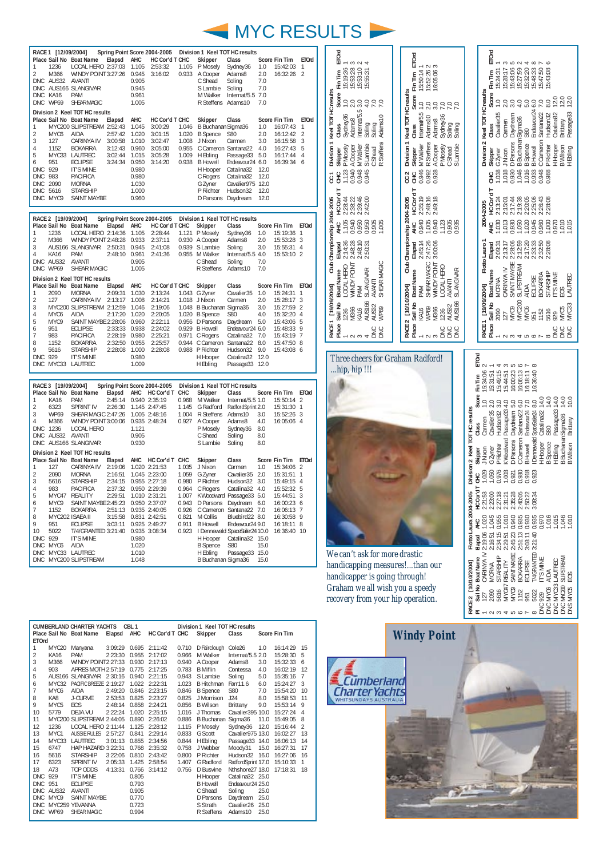

| 1<br>$\overline{2}$<br><b>DNC</b><br><b>DNC</b><br><b>DNC</b><br>1<br>$\overline{c}$<br>3<br>4<br>5<br>6<br><b>DNC</b><br>DNC 983<br>DNC<br>DNC<br>DNC. | RACE 1 [12/09/2004]<br>1236<br>M366<br>AUS32<br><b>KA16</b><br>DNC WP69<br>MYC6<br>127<br>1152<br>951<br>929<br>2090<br>5616<br>MYC9 | Place Sail No Boat Name<br>LOCAL HERO 2:37:03<br>WINDY POINT 3:27:26<br><b>AVANTI</b><br>AUS166 SLANGIVAR<br><b>PAM</b><br>SHEAR MAGIC<br>Division 2 Keel TOT HC results<br>Place Sail No Boat Name<br>MYC200 SLIPSTREAM 2:52:43<br>AIDA<br>CARINYA IV<br><b>BOKARRA</b><br>MYC33 LAUTREC<br><b>ECLIPSE</b><br><b>IT'S MINE</b><br>PACIFICA<br>MORNA<br><b>STARSHIP</b><br><b>SAINT MAYBE</b> | Elapsd<br>Elapsd<br>2:57:42<br>3:00:58<br>3:12:43<br>3:02:44<br>3:24:34                        | AHC<br>1.105<br>0.945<br>0.905<br>0.945<br>0.961<br>1.005<br>AHC<br>1.045<br>1.020<br>1.010<br>0.960<br>1.015<br>0.950<br>0.980<br>0.980<br>1.030<br>1.000<br>0.960 | Spring Point Score 2004-2005<br>HC Cor'd T CHC<br>2:53:32<br>3:16:02<br>HC Cor'd T CHC<br>3:00:29<br>3:01:15<br>3:02:47<br>3:05:00<br>3:05:28<br>3:14:20                | 1.105<br>1.046<br>1.008<br>0.955<br>1.009                                              | Division 1 Keel TOT HC results<br>Skipper<br>P Mosely<br>0.933 A Cooper<br>C Shead<br>S Lambie<br>M Walker<br>R Steffens Adams10<br>Skipper<br>B Buchanan Sigma36<br>1.020 B Spence<br>J Nixon<br>H Ebling<br>0.938 B Howell<br>H Hooper<br>C Rogers<br>G Zyner<br>P Richter<br>D Parsons Daydream | Class<br>Sydney36<br>Adams8<br>Soling<br>Soling<br>Internat/5.5 7.0<br>Class<br>S80<br>Carmen<br>C Cameron Santana22<br>Passage33 5.0<br>Endeavour24 6.0<br>Catalina32<br>Catalina32<br>Cavalier975 12.0<br>Hudson32 | 1.0<br>2.0<br>7.0<br>7.0<br>7 <sub>0</sub><br>1.0<br>2.0<br>3.0<br>4.0<br>12.0<br>12.0<br>12.0<br>12.0 | <b>Score Fin Tim</b><br>15:42:03<br>16:32:26<br><b>Score Fin Tim</b><br>16:07:43<br>16:12:42<br>16:15:58<br>16:27:43<br>16:17:44<br>16:39:34 | <b>ETOrd</b><br>1<br>2<br><b>ETOrd</b><br>$\mathbf{1}$<br>$\overline{2}$<br>3<br>5<br>$\overline{4}$<br>6 |
|---------------------------------------------------------------------------------------------------------------------------------------------------------|--------------------------------------------------------------------------------------------------------------------------------------|-----------------------------------------------------------------------------------------------------------------------------------------------------------------------------------------------------------------------------------------------------------------------------------------------------------------------------------------------------------------------------------------------|------------------------------------------------------------------------------------------------|---------------------------------------------------------------------------------------------------------------------------------------------------------------------|-------------------------------------------------------------------------------------------------------------------------------------------------------------------------|----------------------------------------------------------------------------------------|----------------------------------------------------------------------------------------------------------------------------------------------------------------------------------------------------------------------------------------------------------------------------------------------------|----------------------------------------------------------------------------------------------------------------------------------------------------------------------------------------------------------------------|--------------------------------------------------------------------------------------------------------|----------------------------------------------------------------------------------------------------------------------------------------------|-----------------------------------------------------------------------------------------------------------|
|                                                                                                                                                         |                                                                                                                                      |                                                                                                                                                                                                                                                                                                                                                                                               |                                                                                                |                                                                                                                                                                     |                                                                                                                                                                         |                                                                                        |                                                                                                                                                                                                                                                                                                    |                                                                                                                                                                                                                      |                                                                                                        |                                                                                                                                              |                                                                                                           |
| 1<br>$\overline{2}$<br>3<br>4                                                                                                                           | RACE 2 [19/09/2004]<br>1236<br>M366<br><b>KA16</b><br>DNC AUS32<br>DNC WP69                                                          | Place Sail No Boat Name<br>LOCAL HERO 2:14:36<br>WINDY POINT 2:48:28 0.933<br>AUS166 SLANGIVAR 2:50:31 0.945<br>PAM<br>AVANTI<br>SHEAR MAGIC                                                                                                                                                                                                                                                  | Elapsd<br>2:48:10 0.961                                                                        | AHC<br>1.105<br>0.905<br>1.005                                                                                                                                      | Spring Point Score 2004-2005<br>HC Cor'd T CHC<br>2:28:44<br>2:37:11<br>2:41:08<br>2:41:36                                                                              | 1.121                                                                                  | Division 1 Keel TOT HC results<br>Skipper<br>P Mosely<br>0.930 A Cooper<br>0.939 S Lambie<br>0.955 M Walker<br>C Shead<br>R Steffens                                                                                                                                                               | Class<br>Sydney36<br>Adams8<br>Soling<br>Internat/5.5 4.0<br>Soling<br>Adams10                                                                                                                                       | 1.0<br>2.0<br>3.0<br>7.0<br>7.0                                                                        | Score Fin Tim<br>15:19:36<br>15:53:28<br>15:55:31<br>15:53:10 2                                                                              | <b>ETOrd</b><br>1<br>3<br>$\overline{4}$                                                                  |
| 1<br>$\overline{c}$<br>3<br>$\overline{4}$<br>5<br>6<br>7<br>8<br>9<br><b>DNC</b>                                                                       | 2090<br>127<br>MYC6<br>MYC9<br>951<br>983<br>1152<br>5616<br>929                                                                     | Division 2 Keel TOT HC results<br>Place Sail No Boat Name<br><b>MORNA</b><br>CARINYA IV<br>MYC200 SLIPSTREAM 2:12:59<br>AIDA<br>SAINT MAYBE 2:28:06<br><b>ECLIPSE</b><br>PACIFICA<br><b>BOKARRA</b><br><b>STARSHIP</b><br><b>IT'S MINE</b><br>DNC MYC33 LAUTREC                                                                                                                               | Elapsd<br>2:09:31<br>2:13:17<br>2:17:20<br>2:33:33<br>2:28:19<br>2:32:50<br>2:28:08            | AHC<br>1.030<br>1.008<br>1.046<br>1.020<br>0.960<br>0.938<br>0.980<br>0.955<br>1.000<br>0.980<br>1.009                                                              | HC Cor'd T CHC<br>2:13:24<br>2:14:21<br>2:19:06<br>2:20:05<br>2:22:11<br>2:24:02<br>2:25:21<br>2:25:57<br>2:28:08                                                       | 0.971<br>0.944                                                                         | Skipper<br>1.043 G Zyner<br>1.018 J Nixon<br>1.048 B Buchanan Sigma36<br>1.020 B Spence<br>0.956 D Parsons<br>0.929 B Howell<br>C Rogers<br>C Cameron Santana22<br>0.988 P Richter<br>H Hooper<br>H Ebling                                                                                         | Class<br>Cavalier35<br>Carmen<br><b>S80</b><br>Daydream<br>Endeavour24 6.0<br>Catalina32<br>Hudson32<br>Catalina32<br>Passage33 12.0                                                                                 | 1.0<br>2.0<br>3.0<br>4.0<br>5.0<br>7.0<br>8.0<br>9.0<br>12.0                                           | Score Fin Tim<br>15:24:31<br>15:28:17<br>15:27:59<br>15:32:20<br>15:43:06<br>15:48:33<br>15:43:19<br>15:47:50<br>15:43:08 6                  | <b>ETOrd</b><br>$\mathbf{1}$<br>3<br>$\overline{2}$<br>4<br>5<br>9<br>$\overline{1}$<br>8                 |
| 1<br>$\overline{2}$<br>3<br>4<br>DNC                                                                                                                    | RACE 3 [19/09/2004]<br><b>KA16</b><br>6323<br><b>WP69</b><br>M366<br>1236<br>DNC AUS32                                               | Place Sail No Boat Name<br>PAM<br><b>SPRINT IV</b><br>SHEAR MAGIC 2:47:26<br>WINDY POINT 3:00:06 0.935 2:48:24<br>LOCAL HERO<br><b>AVANTI</b><br>DNC AUS166 SLANGIVAR                                                                                                                                                                                                                         | Elapsd<br>2:45:14<br>2:26:30                                                                   | AHC<br>1.121<br>0.905<br>0.930                                                                                                                                      | Spring Point Score 2004-2005<br>HC Cor'd T CHC<br>0.940 2:35:19<br>1.145 2:47:45<br>1.005 2:48:16                                                                       | 1.145<br>1.004<br>0.927                                                                | Division 1 Keel TOT HC results<br>Skipper<br>0.968 M Walker<br>R Steffens Adams10<br>A Cooper<br>P Mosely<br>C Shead<br>S Lambie                                                                                                                                                                   | Class<br>Internat/5.5 1.0<br>G Radford RadfordSprint 2.0<br>Adams8<br>Sydney36<br>Soling<br>Soling                                                                                                                   | 3.0<br>4.0<br>8.0<br>8.0<br>8.0                                                                        | Score Fin Tim<br>15:50:14<br>15:31:30<br>15:52:26 3<br>16:05:06 4                                                                            | <b>ETOrd</b><br>$\mathcal{P}$<br>$\mathbf{1}$                                                             |
| 1<br>$\overline{2}$<br>3<br>4<br>5<br>6<br>7<br>8<br>9<br>10<br>DNC<br>DNC<br><b>DNC</b><br><b>DNC</b>                                                  | 127<br>2090<br>5616<br>983<br>MYC9<br>1152<br>951<br>5022<br>929<br>MYC6                                                             | Division 2 Keel TOT HC results<br>Place Sail No Boat Name<br>CARINYA IV<br><b>MORNA</b><br><b>STARSHIP</b><br>PACIFICA<br>MYC47 REALITY<br>SAINT MAYBE 2:45:23<br><b>BOKARRA</b><br>MYC202 ISAEA II<br><b>ECLIPSE</b><br>T/4/GRANTED 3:21:40 0.935 3:08:34<br><b>IT'S MINE</b><br>AIDA<br>MYC33 LAUTREC<br>MYC200 SLIPSTREAM                                                                  | Elapsd<br>2:19:06<br>2:16:51<br>2:34:15<br>2:37:32<br>2:29:51<br>2:51:13<br>3:15:58<br>3:03:11 | AHC<br>0.980<br>1.020<br>1.010<br>1.048                                                                                                                             | HC Cor'd T CHC<br>1.020 2:21:53<br>1.045 2:23:00<br>0.955 2:27:18<br>0.950 2:29:39<br>1.010 2:31:21<br>0.950 2:37:07<br>0.935 2:40:05<br>0.831 2:42:51<br>0.925 2:49:27 | 1.035<br>1.059<br>0.980<br>0.964<br>1.007<br>0.943<br>0.926<br>0.821<br>0.911<br>0.923 | Skipper<br>J Nixon<br>G Zyner<br>P Richter<br>C Rogers<br>D Parsons Daydream 6.0<br>M Collis<br><b>B</b> Howell<br>I Dennewald SpaceSailer24 10.0<br>H Hooper<br><b>B</b> Spence<br>H Ebling<br>B Buchanan Sigma36                                                                                 | Class<br>Carmen<br>Cavalier35<br>Hudson32 3.0<br>Catalina32 4.0<br>KWoodward Passage33 5.0<br>C Cameron Santana22 7.0<br>Bluebird22 8.0<br>Endeavour24 9.0<br>Catalina32 15.0<br>S80<br>Passage33 15.0               | 1.0<br>2.0<br>15.0<br>15.0                                                                             | Score Fin Tim<br>15:34:06<br>15:31:51<br>15:49:15<br>15:52:32 5<br>15:44:51<br>16:00:23 6<br>16:06:13<br>16:30:58<br>16:18:11<br>16:36:40 10 | <b>ETOrd</b><br>$\overline{2}$<br>$\mathbf{1}$<br>$\overline{4}$<br>3<br>$\overline{7}$<br>9<br>8         |

| ETOrd<br>Score Fin Tim<br>15:19:36<br>15:53:10<br>15:53:28<br>15:55:31<br>Division 1 Keel TOT HC results<br>$\overline{1}$ .0<br>2.0<br>Internat/5.5 3.0<br>4.0<br>7.0<br>7.0<br>Sydney36<br>Adams10<br>Adams8<br>Soling<br>Soling<br>Class<br>R Steffens<br>S Lambie<br>M Walker<br><b>P</b> Mosely<br>A Cooper<br>Skipper<br>C Shead<br>0.940<br>0.948<br>0.945<br>1.123<br>Э<br>CC <sub>1</sub><br>HC Cor'd T<br>2:38:22<br>2:39:46<br>2:28:44<br>2:42:00 | Score Fin Tim ETOrd<br>16:05:063<br>15:50:14 1<br>15:52:26<br>Division 1 Keel TOT HC results<br>Internat/5.5 1.0<br>3.0<br>7.0<br>Sydney36<br>Adams10<br>Adams8<br>Class<br>Soling<br>Soling<br>R Steffens<br>M Walker<br><b>Skipper</b><br>A Cooper<br><b>P</b> Mosely<br>S Lambie<br>C Shead<br>0.928<br>0.946<br>0.992<br>ЭH<br>CC <sub>2</sub><br>HC Cord T<br>2:35:19<br>2:48:16<br>2:49:18 | ETOrd<br>15:27:59<br>15:32:20<br>15:47:50<br>15:43:06<br>15:48:33<br>15:43:08<br>15:28:17<br>15:24:31<br>Score Fin Tim<br>Division 2 Keel TOT HC results<br>12.0<br>12.0<br>12.0<br>$\supseteq$<br>2.0<br>3.0<br>4.0<br>5.0<br>Endeavour24 6.0<br>$\overline{C}$<br>8.0<br>Santana22<br>Passage33<br>Cavalier 35<br>Hudson32<br>Catalina32<br>Daydream<br>B Buchanan Sigma36<br>Brittany<br>Carmen<br>Class<br><b>S80</b><br>D Parsons<br>C Cameron<br><b>B</b> Spence<br><b>P</b> Richter<br>H Hooper<br>B Wilson<br><b>B</b> Howell<br>H Ebling<br>Skipper<br>G Zyner<br>JNixon<br>0.930<br>0.948<br>1.046<br>1.016<br>0.933<br>1.038<br>1.018<br>0.988<br>Ξ<br>HC Cor'd T<br>2:25:06<br>2:26:43<br>2:28:08<br>2:19:38<br>2:20:05<br>2:13:24<br>2:15:01<br>2:17:44 |
|--------------------------------------------------------------------------------------------------------------------------------------------------------------------------------------------------------------------------------------------------------------------------------------------------------------------------------------------------------------------------------------------------------------------------------------------------------------|--------------------------------------------------------------------------------------------------------------------------------------------------------------------------------------------------------------------------------------------------------------------------------------------------------------------------------------------------------------------------------------------------|----------------------------------------------------------------------------------------------------------------------------------------------------------------------------------------------------------------------------------------------------------------------------------------------------------------------------------------------------------------------------------------------------------------------------------------------------------------------------------------------------------------------------------------------------------------------------------------------------------------------------------------------------------------------------------------------------------------------------------------------------------------------|
| Club Championship 2004-2005<br>AHC<br>E<br>1.105<br>0.940<br>0.950<br>0.950<br>0.905<br>1.005                                                                                                                                                                                                                                                                                                                                                                | Club Championship 2004-2005<br>0.940<br>出<br>天<br>0.940<br>1.005<br>1.123<br>0.905<br>0.935                                                                                                                                                                                                                                                                                                      | 2004-2005<br>AHC<br>1.013<br>0.945<br>1.030<br>0.930<br>1.050<br>1.020<br>0.960<br>1.000<br>0.970<br>$-1.010$<br>$rac{5}{2}$                                                                                                                                                                                                                                                                                                                                                                                                                                                                                                                                                                                                                                         |
| 2:14:36<br>2:48:28<br>2:48:10<br>Elapsd<br>2:50:31<br><b>MINDY POINT</b><br>Place Sail No Boat Name<br>LOCAL HERO<br>SHEAR MAGIC<br>SLANGIVAR<br>AVANTI<br>RACE 1 [19/09/2004]<br><b>PAM</b><br><b>AUS166</b><br>AUS32<br>WP69<br>M366<br>1236<br><b>KA16</b><br><b>DNC</b><br><b>DNC</b>                                                                                                                                                                    | 2:47:26<br>2:45:14<br>3:00:06<br>Elapsd<br>SHEAR MAGIC<br><b>MINDY POINT</b><br>LOCAL HERO<br><b>Boat Name</b><br>SLANGIVAR<br>AVANTI<br>PAM<br>RACE 2 [10/10/2004]<br>Place Sail No<br><b>AUS166</b><br>AUS32<br>WP69<br>KA16<br>M366<br>1236<br><b>DNC</b><br>SNC<br><b>DNC</b>                                                                                                                | Flotto Lauro 1<br>2:12:59<br>2:17:20<br>2:33:33<br>2:13:17<br>2:28:06<br>2:32:50<br>2:28:08<br>2:09:31<br>Elapsd<br>SAINT MAYBE<br>SLIPSTREAM<br>CARINYA IV<br><b>Boat Name</b><br>STARSHIP<br><b>BOKARRA</b><br><b>IT'S MINE</b><br>LAUTREC<br>ECLIPSE<br><b>MORNA</b><br>RACE 1 [19/09/2004]<br><b>AIDA</b><br>EOS<br>Sail No<br><b>MYC200</b><br>MYC33<br>MYC9<br>MYC6<br>MYC5<br>2090<br>5616<br>1152<br>929<br>127<br>951<br>Place:<br>DNC<br>DNC<br><b>DINC</b>                                                                                                                                                                                                                                                                                                |
| Three cheers for Graham Radford!<br>hip, hip !!!                                                                                                                                                                                                                                                                                                                                                                                                             |                                                                                                                                                                                                                                                                                                                                                                                                  | ETOrd<br>15:49:15<br>15:34:06<br>15:31:51<br>16:00:23<br>16:06:13<br>15:44:51<br>16:18:11<br>16:36:40<br>Score Fin Tim<br>14.0<br>14.0<br>10.0<br>14.0<br>Passage33 14.0<br>$\overline{1.0}$<br>Hudson32 3.0<br>SpaceSailer24 8.0<br>2.0<br>Passage33 4.0<br>Daydream 5.0<br>C Cameron Santana22 6.0<br>Endeavour24 7.0<br>Division 2 Keel TOT HC results<br>Cavalier35<br>Catalina32<br><b>B</b> Buchanan Sigma36<br>Carmen<br>Brittany<br>Class<br>S80<br><b>Dennewald</b><br>< Woodward<br>D Parsons<br>H Hooper<br><b>B</b> Spence<br><b>B</b> Wilson<br><b>B</b> Howell<br>H Ebling<br>P Richter<br>J Nixon<br>G Zyner<br>Skipper<br>0.976<br>0.923<br>1.029<br>0.918<br>1.050<br>1.003<br>0.930<br>0.921<br>ЭH                                                 |
| We can't ask for more drastic<br>handicapping measures!than our<br>handicapper is going through!<br>Graham we all wish you a speedy<br>recovery from your hip operation.                                                                                                                                                                                                                                                                                     |                                                                                                                                                                                                                                                                                                                                                                                                  | -lotto Laura 2004-2005<br>23738<br>23898234<br>23988<br>0.915<br>0.915<br>0.915<br>0.915<br>$219:06$<br>$216:51$<br>$234:15$<br>2:45:23<br>51:13<br>Elapsd<br>$-29:51$<br><b>Boat Name</b><br>BOKARRA<br>ACE 2 [10/10/2004]<br><b>REAL</b><br>Sail No $\overline{127}$<br>e<br>Sanda                                                                                                                                                                                                                                                                                                                                                                                                                                                                                 |

| <b>CUMBERLAND CHARTER YACHTS</b><br>CBL <sub>1</sub><br>Division 1 Keel TOT HC results |             |                           |         |       |                       |       |                   |                             |      |               |                |
|----------------------------------------------------------------------------------------|-------------|---------------------------|---------|-------|-----------------------|-------|-------------------|-----------------------------|------|---------------|----------------|
|                                                                                        |             | Place Sail No Boat Name   | Elapsd  | AHC   | HC Cor'd T CHC        |       | Skipper           | Class                       |      | Score Fin Tim |                |
| <b>ETOrd</b>                                                                           |             |                           |         |       |                       |       |                   |                             |      |               |                |
| 1                                                                                      | MYC20       | Manyana                   |         |       | 3:09:29 0.695 2:11:42 | 0.710 | D Fairclough      | Cole26                      | 1.0  | 16:14:29      | 15             |
| 2                                                                                      | KA16        | PAM                       | 2:23:30 | 0.955 | 2:17:02               | 0.966 | M Walker          | Internat/ $5.5$ 2.0         |      | 15:28:30      | 5              |
| 3                                                                                      | M366        | WINDY POINT2:27:33        |         | 0.930 | 2:17:13               | 0.940 | A Cooper          | Adams8                      | 3.0  | 15:32:33      | 6              |
| 4                                                                                      | 903         | APRES MOTH 2:57:19        |         | 0.775 | 2:17:25               | 0.783 | B Miflin          | Contessa                    | 4.0  | 16:02:19      | 12             |
| 5                                                                                      |             | AUS166 SLANGIVAR 2:30:16  |         | 0.940 | 2:21:15               | 0.943 | S Lambie          | Soling                      | 5.0  | 15:35:16      | $\overline{7}$ |
| 6                                                                                      | MYC32       | PACIFIC BREEZE 2:19:27    |         | 1.022 | 2:22:31               | 1.023 | B Hitchman        | Farr11.6                    | 6.0  | 15:24:27      | 3              |
| 7                                                                                      | MYC6        | AIDA                      | 2:49:20 | 0.846 | 2:23:15               | 0.846 | <b>B</b> Spence   | S80                         | 7.0  | 15:54:20      | 10             |
| 8                                                                                      | KA8         | J-CURVE                   | 2:53:53 | 0.825 | 2:23:27               | 0.825 | J Morrison        | J24                         | 8.0  | 15:58:53      | 11             |
| 9                                                                                      | MYC5        | EOS.                      | 2:48:14 | 0.858 | 2:24:21               | 0.856 | <b>B</b> Wilson   | Brittany                    | 9.0  | 15:53:14      | 9              |
| 10                                                                                     | 5779        | DEJA VU                   | 2:22:24 | 1.020 | 2:25:15               | 1.016 | J Thomas          | Cavalier 395 10.0           |      | 15:27:24      | - 4            |
| 11                                                                                     |             | MYC200 SLIPSTREAM 2:44:05 |         | 0.890 | 2:26:02               | 0.886 | <b>B</b> Buchanan | Sigma36                     | 11.0 | 15:49:05      | 8              |
| 12                                                                                     | 1236        | LOCAL HERO 2:11:44        |         | 1.125 | 2:28:12               | 1.115 | P Mosely          | Sydney36                    | 12.0 | 15:16:44      | 2              |
| 13                                                                                     | MYC1        | <b>AUSSIE RULES</b>       | 2:57:27 | 0.841 | 2:29:14               | 0.833 | G Scott           | Cavalier975 13.0            |      | 16:02:27      | 13             |
| 14                                                                                     | MYC33       | LAUTREC                   | 3:01:13 | 0.855 | 2:34:56               | 0.844 | H Ebling          | Passage33 14.0              |      | 16:06:13      | 14             |
| 15                                                                                     | 6747        | HAP HAZARD 3:22:31        |         | 0.768 | 2:35:32               | 0.758 | J Webber          | Moody31                     | 15.0 | 16:27:31      | 17             |
| 16                                                                                     | 5616        | <b>STARSHIP</b>           | 3:22:06 | 0.810 | 2:43:42               | 0.800 | P Richter         | Hudson32 16.0               |      | 16:27:06      | 16             |
| 17                                                                                     | 6323        | <b>SPRINT IV</b>          | 2:05:33 | 1.425 | 2:58:54               | 1.407 | G Radford         | RadfordSprint 17.0 15:10:33 |      |               | 1              |
| 18                                                                                     | A73         | TOP ODDS                  | 4:13:31 | 0.766 | 3:14:12               | 0.756 | D Busvine         | Nthshore27 18.0             |      | 17:18:31      | 18             |
| <b>DNC</b>                                                                             | 929         | <b>IT'S MINE</b>          |         | 0.805 |                       |       | H Hooper          | Catalina32 25.0             |      |               |                |
| <b>DNC</b>                                                                             | 951         | <b>ECLIPSE</b>            |         | 0.793 |                       |       | <b>B</b> Howell   | Endeavour24 25.0            |      |               |                |
| <b>DNC</b>                                                                             | AUS32       | <b>AVANTI</b>             |         | 0.905 |                       |       | C Shead           | Soling                      | 25.0 |               |                |
| <b>DNC</b>                                                                             | MYC9        | SAINT MAYBE               |         | 0.770 |                       |       | D Parsons         | Daydream                    | 25.0 |               |                |
| DNC.                                                                                   |             | MYC259 YEVANNA            |         | 0.723 |                       |       | S Strath          | Cavalier26                  | 25.0 |               |                |
| <b>DNC</b>                                                                             | <b>WP69</b> | SHEAR MAGIC               |         | 0.994 |                       |       | R Steffens        | Adams10                     | 25.0 |               |                |